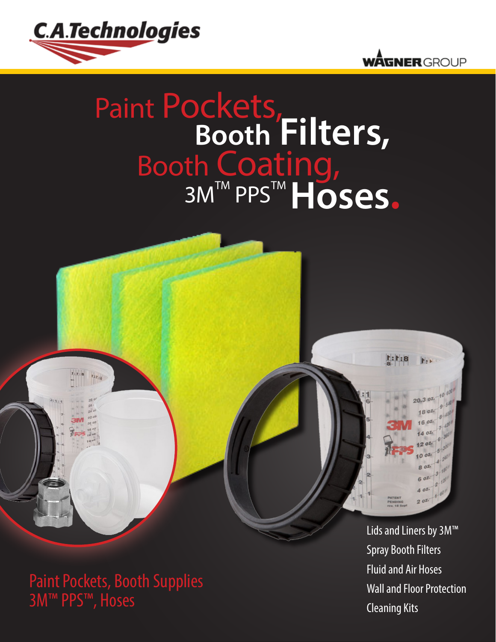



## Paint Pockets, **Booth Filters,** Booth Coating, 3M™ PPS™ Hoses.



 $8:1:1$ 

 $F_{2}$  M.

20.3 02. 1802 16.02

g ozi

Paint Pockets, Booth Supplies 3M™ PPS™, Hoses

 $1:1:8$ 

 $r_{1.1_{10}}$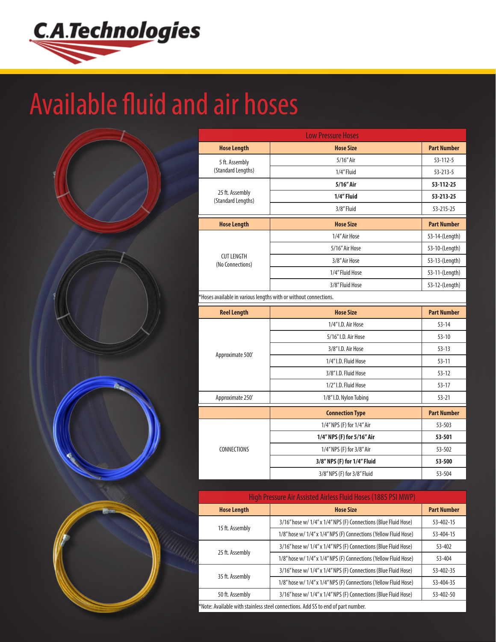

## Available fluid and air hoses



| <b>Low Pressure Hoses</b>                                        |                             |                    |  |  |
|------------------------------------------------------------------|-----------------------------|--------------------|--|--|
| <b>Hose Length</b>                                               | <b>Hose Size</b>            | <b>Part Number</b> |  |  |
| 5 ft. Assembly                                                   | 5/16" Air                   | $53 - 112 - 5$     |  |  |
| (Standard Lengths)                                               | 1/4" Fluid                  | $53 - 213 - 5$     |  |  |
|                                                                  | 5/16" Air                   | 53-112-25          |  |  |
| 25 ft. Assembly<br>(Standard Lengths)                            | 1/4" Fluid                  | 53-213-25          |  |  |
|                                                                  | 3/8" Fluid                  | 53-215-25          |  |  |
| <b>Hose Length</b>                                               | <b>Hose Size</b>            | <b>Part Number</b> |  |  |
|                                                                  | 1/4" Air Hose               | 53-14-(Length)     |  |  |
|                                                                  | 5/16" Air Hose              | 53-10-(Length)     |  |  |
| <b>CUT LENGTH</b><br>(No Connections)                            | 3/8" Air Hose               | 53-13-(Length)     |  |  |
|                                                                  | 1/4" Fluid Hose             | 53-11-(Length)     |  |  |
|                                                                  | 3/8" Fluid Hose             | 53-12-(Length)     |  |  |
| *Hoses available in various lengths with or without connections. |                             |                    |  |  |
|                                                                  |                             |                    |  |  |
| <b>Reel Length</b>                                               | <b>Hose Size</b>            | <b>Part Number</b> |  |  |
|                                                                  | 1/4" I.D. Air Hose          | $53 - 14$          |  |  |
|                                                                  | 5/16" I.D. Air Hose         | $53 - 10$          |  |  |
|                                                                  | 3/8" I.D. Air Hose          | $53 - 13$          |  |  |
| Approximate 500'                                                 | 1/4" I.D. Fluid Hose        | $53 - 11$          |  |  |
|                                                                  | 3/8"I.D. Fluid Hose         | $53 - 12$          |  |  |
|                                                                  | 1/2"I.D. Fluid Hose         | $53 - 17$          |  |  |
| Approximate 250'                                                 | 1/8"I.D. Nylon Tubing       | $53 - 21$          |  |  |
|                                                                  | <b>Connection Type</b>      | <b>Part Number</b> |  |  |
|                                                                  | 1/4" NPS (F) for 1/4" Air   | 53-503             |  |  |
|                                                                  | 1/4" NPS (F) for 5/16" Air  | 53-501             |  |  |
| <b>CONNECTIONS</b>                                               | 1/4" NPS (F) for 3/8" Air   | 53-502             |  |  |
|                                                                  | 3/8" NPS (F) for 1/4" Fluid | 53-500             |  |  |

| High Pressure Air Assisted Airless Fluid Hoses (1885 PSI MWP) |                                                                  |                    |  |
|---------------------------------------------------------------|------------------------------------------------------------------|--------------------|--|
| <b>Hose Length</b>                                            | <b>Hose Size</b>                                                 | <b>Part Number</b> |  |
|                                                               | 3/16" hose w/ 1/4" x 1/4" NPS (F) Connections (Blue Fluid Hose)  | 53-402-15          |  |
| 15 ft. Assembly                                               | 1/8" hose w/ 1/4" x 1/4" NPS (F) Connections (Yellow Fluid Hose) | 53-404-15          |  |
| 25 ft. Assembly                                               | 3/16" hose w/ 1/4" x 1/4" NPS (F) Connections (Blue Fluid Hose)  | 53-402             |  |
|                                                               | 1/8" hose w/ 1/4" x 1/4" NPS (F) Connections (Yellow Fluid Hose) | 53-404             |  |
| 35 ft. Assembly                                               | 3/16" hose w/ 1/4" x 1/4" NPS (F) Connections (Blue Fluid Hose)  | 53-402-35          |  |
|                                                               | 1/8" hose w/ 1/4" x 1/4" NPS (F) Connections (Yellow Fluid Hose) | 53-404-35          |  |
| 50 ft. Assembly                                               | 3/16" hose w/ 1/4" x 1/4" NPS (F) Connections (Blue Fluid Hose)  | 53-402-50          |  |
|                                                               |                                                                  |                    |  |

\*Note: Available with stainless steel connections. Add SS to end of part number.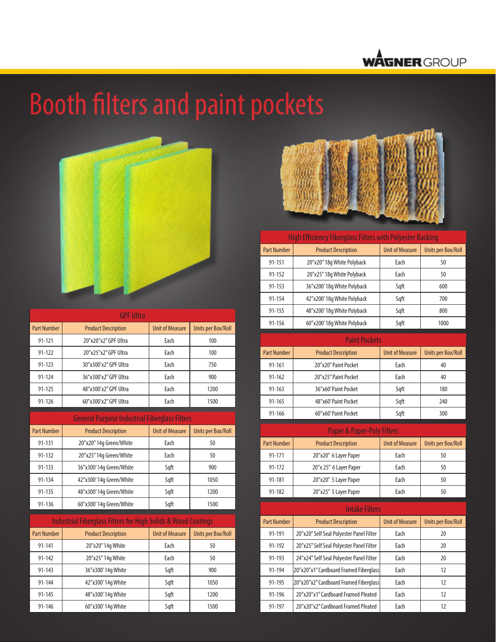

# Booth filters and paint pockets



| <b>GPF Ultra</b>   |                            |                        |                           |
|--------------------|----------------------------|------------------------|---------------------------|
| <b>Part Number</b> | <b>Product Description</b> | <b>Unit of Measure</b> | <b>Units per Box/Roll</b> |
| 91-121             | 20"x20"x2" GPF Ultra       | Each                   | 100                       |
| 91-122             | 20"x25"x2" GPF Ultra       | Each                   | 100                       |
| 91-123             | 30"x300'x2" GPF Ultra      | Each                   | 750                       |
| 91-124             | 36"x300'x2" GPF Ultra      | Each                   | 900                       |
| $91 - 125$         | 48"x300'x2" GPF Ultra      | Each                   | 1200                      |
| $91 - 126$         | 60"x300'x2" GPF Ultra      | Each                   | 1500                      |

General Purpose Industrial Fiberglass Filters Part Number | Product Description | Unit of Measure | Units per Box/Roll 91-131 20"x20" 14g Green/White | Each | 50 91-132 20"x25" 14g Green/White Each 50 91-133 36"x300' 14g Green/White Sqft 900 91-134 | 42"x300' 14g Green/White | Sqft | 1050 91-135 | 48"x300' 14g Green/White | Sqft | 1200 91-136 60"x300' 14g Green/White | Sqft | 1500

| <b>Industrial Fiberglass Filters for High Solids &amp; Wood Coatings</b> |                            |                        |                           |
|--------------------------------------------------------------------------|----------------------------|------------------------|---------------------------|
| <b>Part Number</b>                                                       | <b>Product Description</b> | <b>Unit of Measure</b> | <b>Units per Box/Roll</b> |
| 91-141                                                                   | 20"x20" 14g White          | Each                   | 50                        |
| $91 - 142$                                                               | 20"x25" 14g White          | Each                   | 50                        |
| $91 - 143$                                                               | 36"x300'14q White          | Sqft                   | 900                       |
| 91-144                                                                   | 42"x300'14g White          | Sqft                   | 1050                      |
| 91-145                                                                   | 48"x300'14g White          | Sqft                   | 1200                      |
| 91-146                                                                   | 60"x300'14q White          | Sgft                   | 1500                      |



#### High Efficiency Fiberglass Filters with Polyester Back

| <b>Part Number</b> | <b>Product Description</b> | <b>Unit of Measure</b> | Units per Box/Roll |
|--------------------|----------------------------|------------------------|--------------------|
| 91-151             | 20"x20" 18q White Polyback | Each                   | 50                 |
| $91 - 152$         | 20"x25" 18q White Polyback | Each                   | 50                 |
| $91 - 153$         | 36"x200'18q White Polyback | Sqft                   | 600                |
| 91-154             | 42"x200'18q White Polyback | Sqft                   | 700                |
| 91-155             | 48"x200'18q White Polyback | Sqft                   | 800                |
| 91-156             | 60"x200'18q White Polyback | Sqft                   | 1000               |

| <b>Paint Pockets</b> |                            |                        |                    |
|----------------------|----------------------------|------------------------|--------------------|
| <b>Part Number</b>   | <b>Product Description</b> | <b>Unit of Measure</b> | Units per Box/Roll |
| $91 - 161$           | 20"x20" Paint Pocket       | Each                   | 40                 |
| $91 - 162$           | 20"x25" Paint Pocket       | Each                   | 40                 |
| $91 - 163$           | 36"x60' Paint Pocket       | Sqft                   | 180                |
| $91 - 165$           | 48"x60' Paint Pocket       | Sqft                   | 240                |
| $91 - 166$           | 60"x60' Paint Pocket       | Sqft                   | 300                |

| <b>Paper &amp; Paper-Poly Filters</b> |                            |                        |                    |
|---------------------------------------|----------------------------|------------------------|--------------------|
| <b>Part Number</b>                    | <b>Product Description</b> | <b>Unit of Measure</b> | Units per Box/Roll |
| 91-171                                | 20"x20" 6 Layer Paper      | Each                   | 50                 |
| 91-172                                | 20"x 25" 6 Layer Paper     | Each                   | 50                 |
| 91-181                                | 20"x20" 5 Layer Paper      | Each                   | 50                 |
| 91-182                                | 20"x25" 5 Layer Paper      | Each                   | 50                 |

| <b>Intake Filters</b> |                                          |                        |                    |
|-----------------------|------------------------------------------|------------------------|--------------------|
| <b>Part Number</b>    | <b>Product Description</b>               | <b>Unit of Measure</b> | Units per Box/Roll |
| 91-191                | 20"x20" Self Seal Polyester Panel Filter | Each                   | 20                 |
| 91-192                | 20"x25" Self Seal Polyester Panel Filter | Each                   | 20                 |
| 91-193                | 24"x24" Self Seal Polyester Panel Filter | Each                   | 20                 |
| 91-194                | 20"x20"x1" Cardboard Framed Fiberglass   | Each                   | 12                 |
| 91-195                | 20"x20"x2" Cardboard Framed Fiberglass   | Each                   | 12                 |
| 91-196                | 20"x20"x1" Cardboard Framed Pleated      | Each                   | 12                 |
| 91-197                | 20"x20"x2" Cardboard Framed Pleated      | Each                   | 12                 |